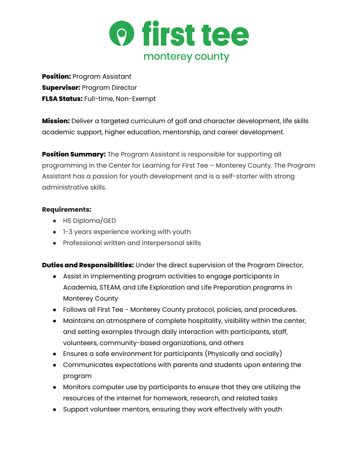

**Position:** Program Assistant **Supervisor:** Program Director **FLSA Status:** Full-time, Non-Exempt

**Mission:** Deliver a targeted curriculum of golf and character development, life skills academic support, higher education, mentorship, and career development.

**Position Summary:** The Program Assistant is responsible for supporting all programming in the Center for Learning for First Tee – Monterey County. The Program Assistant has a passion for youth development and is a self-starter with strong administrative skills.

## **Requirements:**

- HS Diploma/GED
- 1-3 years experience working with youth
- Professional written and interpersonal skills

**Duties and Responsibilities:** Under the direct supervision of the Program Director,

- Assist in implementing program activities to engage participants in Academia, STEAM, and Life Exploration and Life Preparation programs in Monterey County
- Follows all First Tee Monterey County protocol, policies, and procedures.
- Maintains an atmosphere of complete hospitality, visibility within the center, and setting examples through daily interaction with participants, staff, volunteers, community-based organizations, and others
- Ensures a safe environment for participants (Physically and socially)
- Communicates expectations with parents and students upon entering the program
- Monitors computer use by participants to ensure that they are utilizing the resources of the internet for homework, research, and related tasks
- Support volunteer mentors, ensuring they work effectively with youth